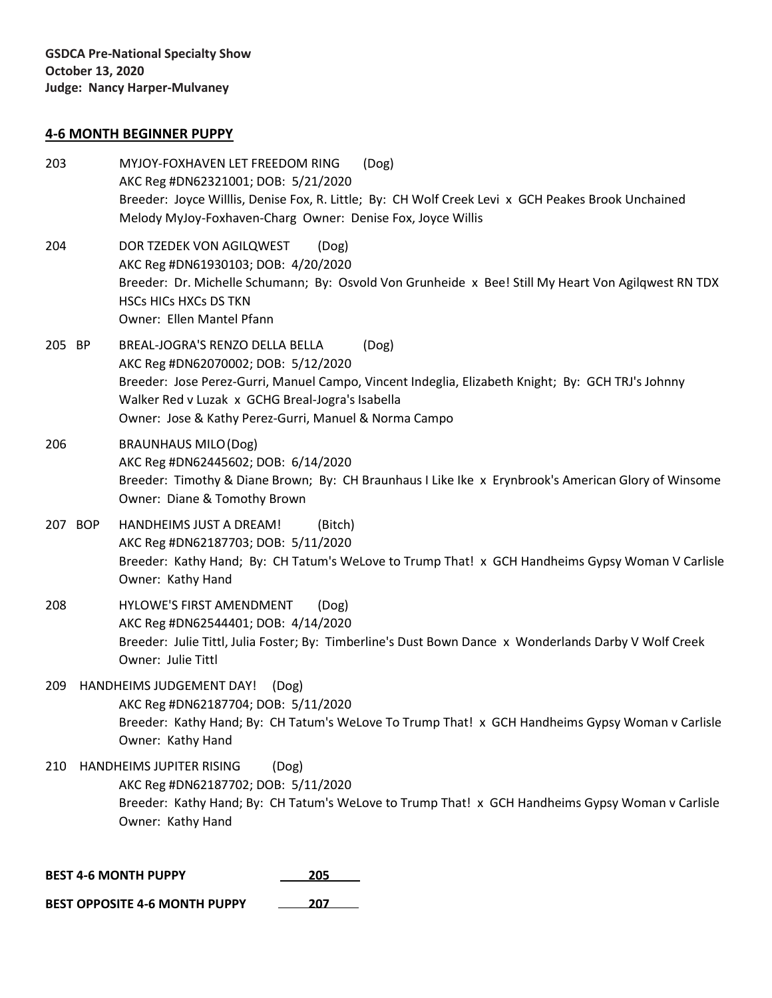### **4-6 MONTH BEGINNER PUPPY**

- 203 MYJOY-FOXHAVEN LET FREEDOM RING (Dog) AKC Reg #DN62321001; DOB: 5/21/2020 Breeder: Joyce Willlis, Denise Fox, R. Little; By: CH Wolf Creek Levi x GCH Peakes Brook Unchained Melody MyJoy-Foxhaven-Charg Owner: Denise Fox, Joyce Willis 204 DOR TZEDEK VON AGILQWEST (Dog) AKC Reg #DN61930103; DOB: 4/20/2020 Breeder: Dr. Michelle Schumann; By: Osvold Von Grunheide x Bee! Still My Heart Von Agilqwest RN TDX HSCs HICs HXCs DS TKN Owner: Ellen Mantel Pfann
- 205 BP BREAL-JOGRA'S RENZO DELLA BELLA (Dog) AKC Reg #DN62070002; DOB: 5/12/2020 Breeder: Jose Perez-Gurri, Manuel Campo, Vincent Indeglia, Elizabeth Knight; By: GCH TRJ's Johnny Walker Red v Luzak x GCHG Breal-Jogra's Isabella Owner: Jose & Kathy Perez-Gurri, Manuel & Norma Campo
- 206 BRAUNHAUS MILO(Dog) AKC Reg #DN62445602; DOB: 6/14/2020 Breeder: Timothy & Diane Brown; By: CH Braunhaus I Like Ike x Erynbrook's American Glory of Winsome Owner: Diane & Tomothy Brown
- 207 BOP HANDHEIMS JUST A DREAM! (Bitch) AKC Reg #DN62187703; DOB: 5/11/2020 Breeder: Kathy Hand; By: CH Tatum's WeLove to Trump That! x GCH Handheims Gypsy Woman V Carlisle Owner: Kathy Hand
- 208 HYLOWE'S FIRST AMENDMENT (Dog) AKC Reg #DN62544401; DOB: 4/14/2020 Breeder: Julie Tittl, Julia Foster; By: Timberline's Dust Bown Dance x Wonderlands Darby V Wolf Creek Owner: Julie Tittl
- 209 HANDHEIMS JUDGEMENT DAY! (Dog) AKC Reg #DN62187704; DOB: 5/11/2020 Breeder: Kathy Hand; By: CH Tatum's WeLove To Trump That! x GCH Handheims Gypsy Woman v Carlisle Owner: Kathy Hand
- 210 HANDHEIMS JUPITER RISING (Dog) AKC Reg #DN62187702; DOB: 5/11/2020 Breeder: Kathy Hand; By: CH Tatum's WeLove to Trump That! x GCH Handheims Gypsy Woman v Carlisle Owner: Kathy Hand

**BEST 4-6 MONTH PUPPY 205**

**BEST OPPOSITE 4-6 MONTH PUPPY 207**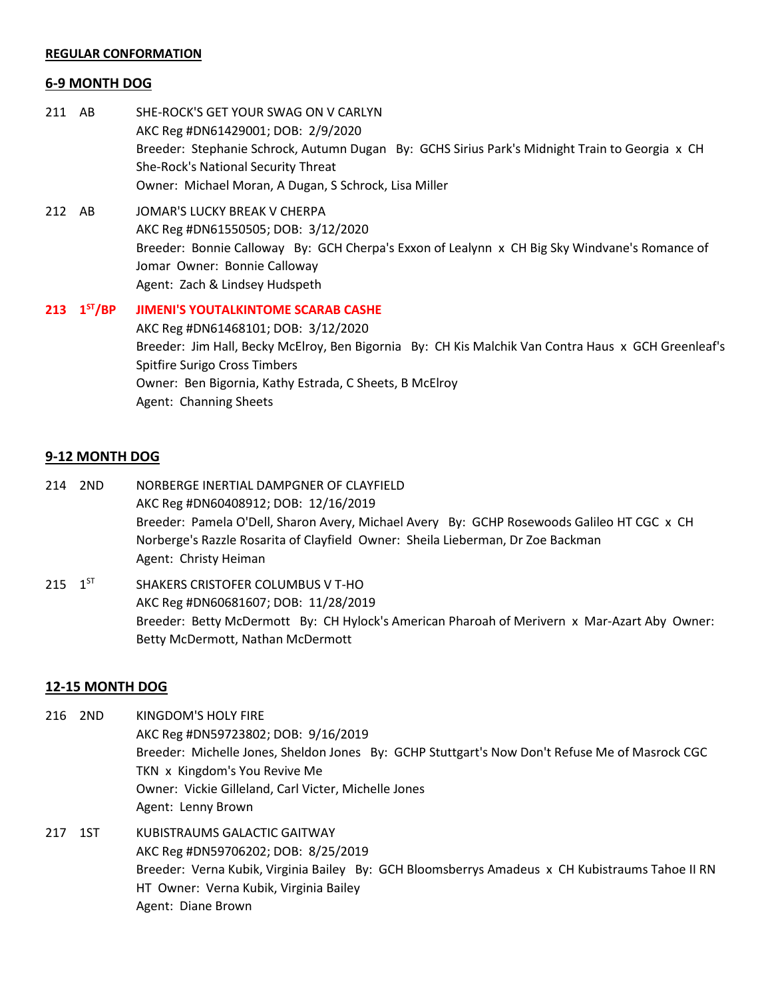#### **REGULAR CONFORMATION**

#### **6-9 MONTH DOG**

- 211 AB SHE-ROCK'S GET YOUR SWAG ON V CARLYN AKC Reg #DN61429001; DOB: 2/9/2020 Breeder: Stephanie Schrock, Autumn Dugan By: GCHS Sirius Park's Midnight Train to Georgia x CH She-Rock's National Security Threat Owner: Michael Moran, A Dugan, S Schrock, Lisa Miller
- 212 AB JOMAR'S LUCKY BREAK V CHERPA AKC Reg #DN61550505; DOB: 3/12/2020 Breeder: Bonnie Calloway By: GCH Cherpa's Exxon of Lealynn x CH Big Sky Windvane's Romance of Jomar Owner: Bonnie Calloway Agent: Zach & Lindsey Hudspeth
- **213**  $1^{57}/BP$ **JIMENI'S YOUTALKINTOME SCARAB CASHE** AKC Reg #DN61468101; DOB: 3/12/2020 Breeder: Jim Hall, Becky McElroy, Ben Bigornia By: CH Kis Malchik Van Contra Haus x GCH Greenleaf's Spitfire Surigo Cross Timbers Owner: Ben Bigornia, Kathy Estrada, C Sheets, B McElroy Agent: Channing Sheets

## **9-12 MONTH DOG**

- 214 2ND NORBERGE INERTIAL DAMPGNER OF CLAYFIELD AKC Reg #DN60408912; DOB: 12/16/2019 Breeder: Pamela O'Dell, Sharon Avery, Michael Avery By: GCHP Rosewoods Galileo HT CGC x CH Norberge's Razzle Rosarita of Clayfield Owner: Sheila Lieberman, Dr Zoe Backman Agent: Christy Heiman
- 215  $1^{57}$ SHAKERS CRISTOFER COLUMBUS V T-HO AKC Reg #DN60681607; DOB: 11/28/2019 Breeder: Betty McDermott By: CH Hylock's American Pharoah of Merivern x Mar-Azart Aby Owner: Betty McDermott, Nathan McDermott

#### **12-15 MONTH DOG**

- 216 2ND KINGDOM'S HOLY FIRE AKC Reg #DN59723802; DOB: 9/16/2019 Breeder: Michelle Jones, Sheldon Jones By: GCHP Stuttgart's Now Don't Refuse Me of Masrock CGC TKN x Kingdom's You Revive Me Owner: Vickie Gilleland, Carl Victer, Michelle Jones Agent: Lenny Brown
- 217 1ST KUBISTRAUMS GALACTIC GAITWAY AKC Reg #DN59706202; DOB: 8/25/2019 Breeder: Verna Kubik, Virginia Bailey By: GCH Bloomsberrys Amadeus x CH Kubistraums Tahoe II RN HT Owner: Verna Kubik, Virginia Bailey Agent: Diane Brown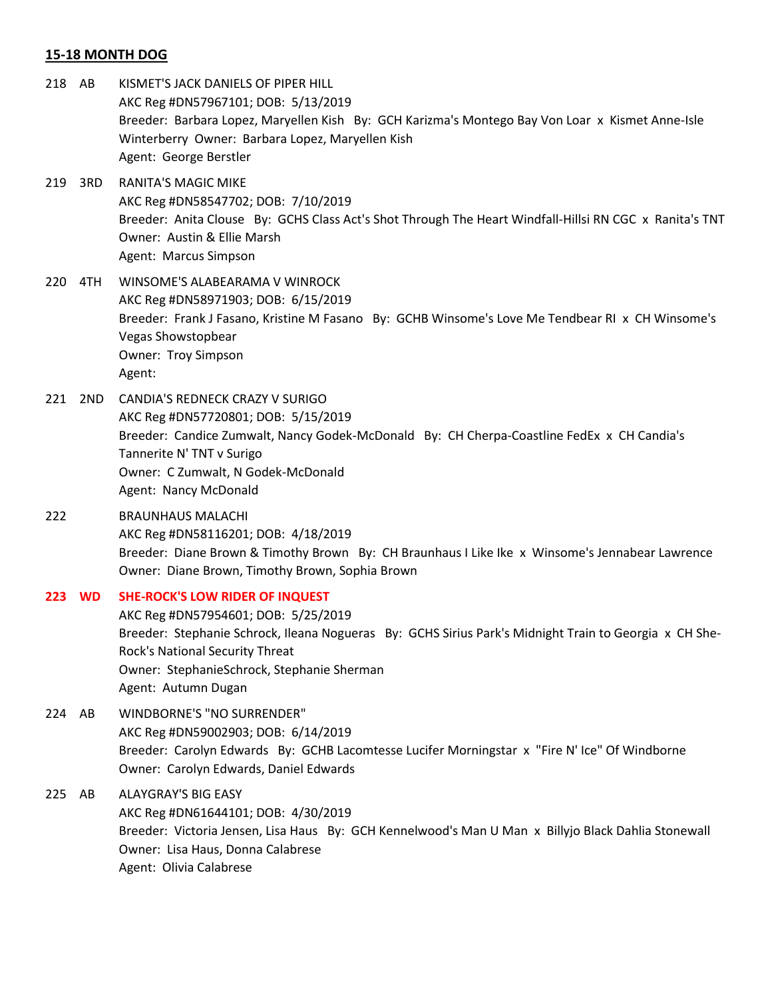## **15-18 MONTH DOG**

- 218 AB KISMET'S JACK DANIELS OF PIPER HILL AKC Reg #DN57967101; DOB: 5/13/2019 Breeder: Barbara Lopez, Maryellen Kish By: GCH Karizma's Montego Bay Von Loar x Kismet Anne-Isle Winterberry Owner: Barbara Lopez, Maryellen Kish Agent: George Berstler
- 219 3RD RANITA'S MAGIC MIKE AKC Reg #DN58547702; DOB: 7/10/2019 Breeder: Anita Clouse By: GCHS Class Act's Shot Through The Heart Windfall-Hillsi RN CGC x Ranita's TNT Owner: Austin & Ellie Marsh Agent: Marcus Simpson
- 220 4TH WINSOME'S ALABEARAMA V WINROCK AKC Reg #DN58971903; DOB: 6/15/2019 Breeder: Frank J Fasano, Kristine M Fasano By: GCHB Winsome's Love Me Tendbear RI x CH Winsome's Vegas Showstopbear Owner: Troy Simpson Agent:
- 221 2ND CANDIA'S REDNECK CRAZY V SURIGO AKC Reg #DN57720801; DOB: 5/15/2019 Breeder: Candice Zumwalt, Nancy Godek-McDonald By: CH Cherpa-Coastline FedEx x CH Candia's Tannerite N' TNT v Surigo Owner: C Zumwalt, N Godek-McDonald Agent: Nancy McDonald
- 222 BRAUNHAUS MALACHI AKC Reg #DN58116201; DOB: 4/18/2019 Breeder: Diane Brown & Timothy Brown By: CH Braunhaus I Like Ike x Winsome's Jennabear Lawrence Owner: Diane Brown, Timothy Brown, Sophia Brown
- **223 WD SHE-ROCK'S LOW RIDER OF INQUEST** AKC Reg #DN57954601; DOB: 5/25/2019 Breeder: Stephanie Schrock, Ileana Nogueras By: GCHS Sirius Park's Midnight Train to Georgia x CH She-Rock's National Security Threat Owner: StephanieSchrock, Stephanie Sherman Agent: Autumn Dugan
- 224 AB WINDBORNE'S "NO SURRENDER" AKC Reg #DN59002903; DOB: 6/14/2019 Breeder: Carolyn Edwards By: GCHB Lacomtesse Lucifer Morningstar x "Fire N' Ice" Of Windborne Owner: Carolyn Edwards, Daniel Edwards
- 225 AB ALAYGRAY'S BIG EASY AKC Reg #DN61644101; DOB: 4/30/2019 Breeder: Victoria Jensen, Lisa Haus By: GCH Kennelwood's Man U Man x Billyjo Black Dahlia Stonewall Owner: Lisa Haus, Donna Calabrese Agent: Olivia Calabrese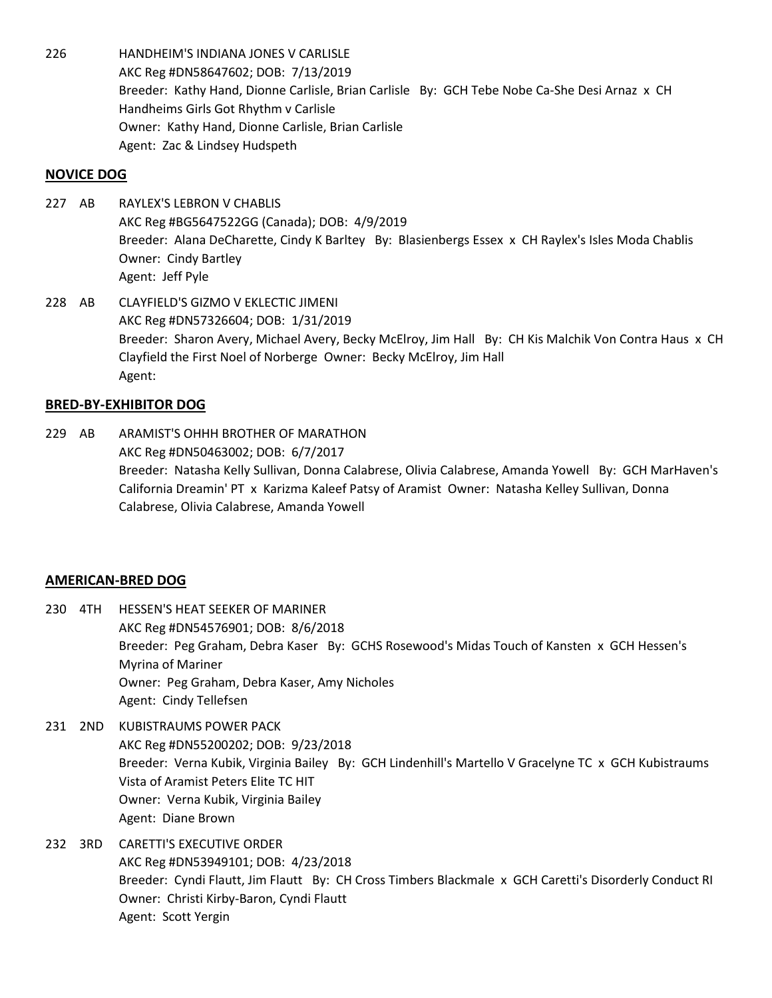226 HANDHEIM'S INDIANA JONES V CARLISLE AKC Reg #DN58647602; DOB: 7/13/2019 Breeder: Kathy Hand, Dionne Carlisle, Brian Carlisle By: GCH Tebe Nobe Ca-She Desi Arnaz x CH Handheims Girls Got Rhythm v Carlisle Owner: Kathy Hand, Dionne Carlisle, Brian Carlisle Agent: Zac & Lindsey Hudspeth

## **NOVICE DOG**

- 227 AB RAYLEX'S LEBRON V CHABLIS AKC Reg #BG5647522GG (Canada); DOB: 4/9/2019 Breeder: Alana DeCharette, Cindy K Barltey By: Blasienbergs Essex x CH Raylex's Isles Moda Chablis Owner: Cindy Bartley Agent: Jeff Pyle
- 228 AB CLAYFIELD'S GIZMO V EKLECTIC JIMENI AKC Reg #DN57326604; DOB: 1/31/2019 Breeder: Sharon Avery, Michael Avery, Becky McElroy, Jim Hall By: CH Kis Malchik Von Contra Haus x CH Clayfield the First Noel of Norberge Owner: Becky McElroy, Jim Hall Agent:

# **BRED-BY-EXHIBITOR DOG**

229 AB ARAMIST'S OHHH BROTHER OF MARATHON AKC Reg #DN50463002; DOB: 6/7/2017 Breeder: Natasha Kelly Sullivan, Donna Calabrese, Olivia Calabrese, Amanda Yowell By: GCH MarHaven's California Dreamin' PT x Karizma Kaleef Patsy of Aramist Owner: Natasha Kelley Sullivan, Donna Calabrese, Olivia Calabrese, Amanda Yowell

## **AMERICAN-BRED DOG**

- 230 4TH HESSEN'S HEAT SEEKER OF MARINER AKC Reg #DN54576901; DOB: 8/6/2018 Breeder: Peg Graham, Debra Kaser By: GCHS Rosewood's Midas Touch of Kansten x GCH Hessen's Myrina of Mariner Owner: Peg Graham, Debra Kaser, Amy Nicholes Agent: Cindy Tellefsen
- 231 2ND KUBISTRAUMS POWER PACK AKC Reg #DN55200202; DOB: 9/23/2018 Breeder: Verna Kubik, Virginia Bailey By: GCH Lindenhill's Martello V Gracelyne TC x GCH Kubistraums Vista of Aramist Peters Elite TC HIT Owner: Verna Kubik, Virginia Bailey Agent: Diane Brown
- 232 3RD CARETTI'S EXECUTIVE ORDER AKC Reg #DN53949101; DOB: 4/23/2018 Breeder: Cyndi Flautt, Jim Flautt By: CH Cross Timbers Blackmale x GCH Caretti's Disorderly Conduct RI Owner: Christi Kirby-Baron, Cyndi Flautt Agent: Scott Yergin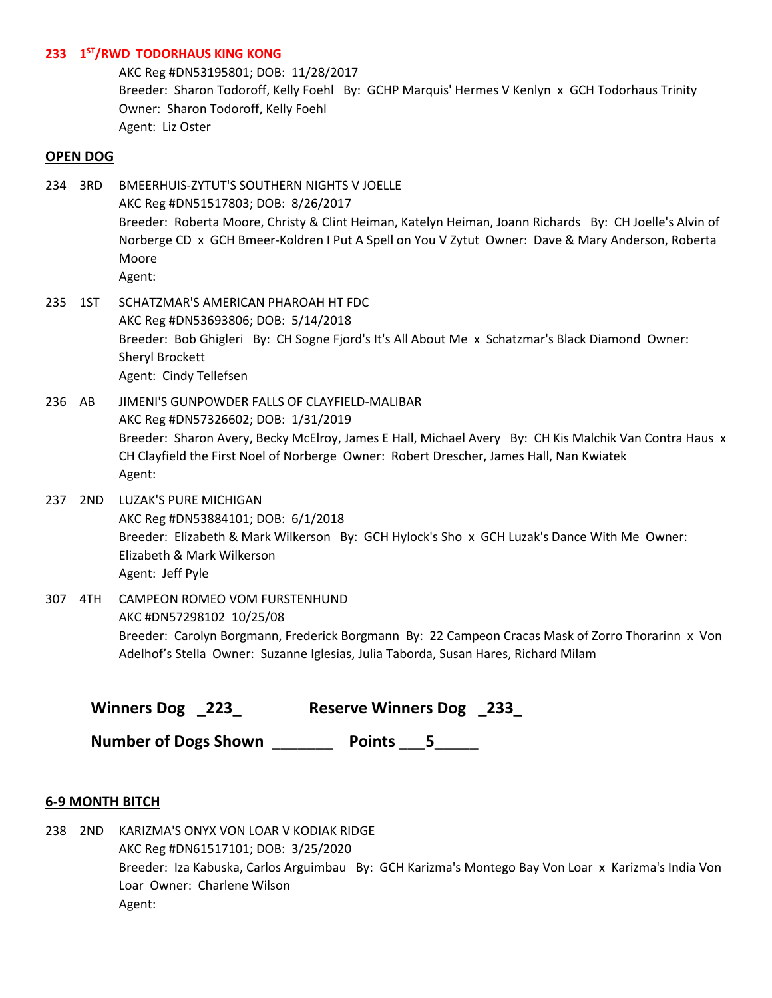# **233 1 ST/RWD TODORHAUS KING KONG**

AKC Reg #DN53195801; DOB: 11/28/2017 Breeder: Sharon Todoroff, Kelly Foehl By: GCHP Marquis' Hermes V Kenlyn x GCH Todorhaus Trinity Owner: Sharon Todoroff, Kelly Foehl Agent: Liz Oster

### **OPEN DOG**

- 234 3RD BMEERHUIS-ZYTUT'S SOUTHERN NIGHTS V JOELLE AKC Reg #DN51517803; DOB: 8/26/2017 Breeder: Roberta Moore, Christy & Clint Heiman, Katelyn Heiman, Joann Richards By: CH Joelle's Alvin of Norberge CD x GCH Bmeer-Koldren I Put A Spell on You V Zytut Owner: Dave & Mary Anderson, Roberta Moore Agent:
- 235 1ST SCHATZMAR'S AMERICAN PHAROAH HT FDC AKC Reg #DN53693806; DOB: 5/14/2018 Breeder: Bob Ghigleri By: CH Sogne Fjord's It's All About Me x Schatzmar's Black Diamond Owner: Sheryl Brockett Agent: Cindy Tellefsen
- 236 AB JIMENI'S GUNPOWDER FALLS OF CLAYFIELD-MALIBAR AKC Reg #DN57326602; DOB: 1/31/2019 Breeder: Sharon Avery, Becky McElroy, James E Hall, Michael Avery By: CH Kis Malchik Van Contra Haus x CH Clayfield the First Noel of Norberge Owner: Robert Drescher, James Hall, Nan Kwiatek Agent:
- 237 2ND LUZAK'S PURE MICHIGAN AKC Reg #DN53884101; DOB: 6/1/2018 Breeder: Elizabeth & Mark Wilkerson By: GCH Hylock's Sho x GCH Luzak's Dance With Me Owner: Elizabeth & Mark Wilkerson Agent: Jeff Pyle
- 307 4TH CAMPEON ROMEO VOM FURSTENHUND AKC #DN57298102 10/25/08 Breeder: Carolyn Borgmann, Frederick Borgmann By: 22 Campeon Cracas Mask of Zorro Thorarinn x Von Adelhof's Stella Owner: Suzanne Iglesias, Julia Taborda, Susan Hares, Richard Milam

| Winners Dog _223 | <b>Reserve Winners Dog 233</b> |  |
|------------------|--------------------------------|--|
|                  |                                |  |

Number of Dogs Shown **Points 2018** 

## **6-9 MONTH BITCH**

238 2ND KARIZMA'S ONYX VON LOAR V KODIAK RIDGE AKC Reg #DN61517101; DOB: 3/25/2020 Breeder: Iza Kabuska, Carlos Arguimbau By: GCH Karizma's Montego Bay Von Loar x Karizma's India Von Loar Owner: Charlene Wilson Agent: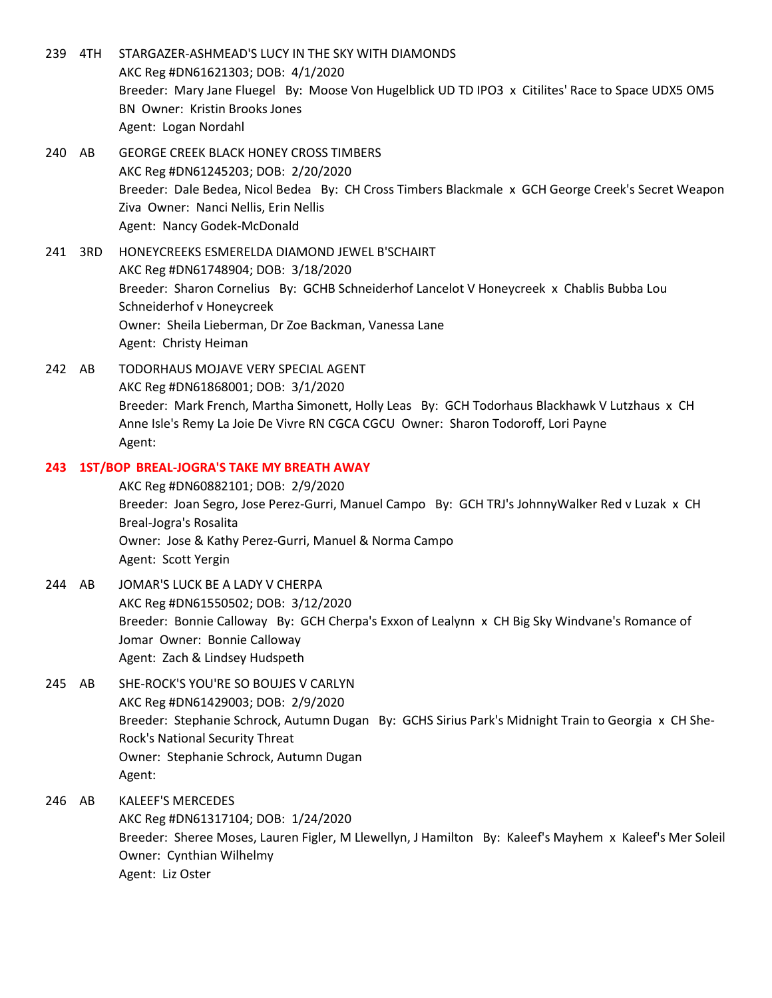- 239 4TH STARGAZER-ASHMEAD'S LUCY IN THE SKY WITH DIAMONDS AKC Reg #DN61621303; DOB: 4/1/2020 Breeder: Mary Jane Fluegel By: Moose Von Hugelblick UD TD IPO3 x Citilites' Race to Space UDX5 OM5 BN Owner: Kristin Brooks Jones Agent: Logan Nordahl
- 240 AB GEORGE CREEK BLACK HONEY CROSS TIMBERS AKC Reg #DN61245203; DOB: 2/20/2020 Breeder: Dale Bedea, Nicol Bedea By: CH Cross Timbers Blackmale x GCH George Creek's Secret Weapon Ziva Owner: Nanci Nellis, Erin Nellis Agent: Nancy Godek-McDonald
- 241 3RD HONEYCREEKS ESMERELDA DIAMOND JEWEL B'SCHAIRT AKC Reg #DN61748904; DOB: 3/18/2020 Breeder: Sharon Cornelius By: GCHB Schneiderhof Lancelot V Honeycreek x Chablis Bubba Lou Schneiderhof v Honeycreek Owner: Sheila Lieberman, Dr Zoe Backman, Vanessa Lane Agent: Christy Heiman
- 242 AB TODORHAUS MOJAVE VERY SPECIAL AGENT AKC Reg #DN61868001; DOB: 3/1/2020 Breeder: Mark French, Martha Simonett, Holly Leas By: GCH Todorhaus Blackhawk V Lutzhaus x CH Anne Isle's Remy La Joie De Vivre RN CGCA CGCU Owner: Sharon Todoroff, Lori Payne Agent:

# **243 1ST/BOP BREAL-JOGRA'S TAKE MY BREATH AWAY**

AKC Reg #DN60882101; DOB: 2/9/2020 Breeder: Joan Segro, Jose Perez-Gurri, Manuel Campo By: GCH TRJ's JohnnyWalker Red v Luzak x CH Breal-Jogra's Rosalita Owner: Jose & Kathy Perez-Gurri, Manuel & Norma Campo Agent: Scott Yergin

- 244 AB JOMAR'S LUCK BE A LADY V CHERPA AKC Reg #DN61550502; DOB: 3/12/2020 Breeder: Bonnie Calloway By: GCH Cherpa's Exxon of Lealynn x CH Big Sky Windvane's Romance of Jomar Owner: Bonnie Calloway Agent: Zach & Lindsey Hudspeth
- 245 AB SHE-ROCK'S YOU'RE SO BOUJES V CARLYN AKC Reg #DN61429003; DOB: 2/9/2020 Breeder: Stephanie Schrock, Autumn Dugan By: GCHS Sirius Park's Midnight Train to Georgia x CH She-Rock's National Security Threat Owner: Stephanie Schrock, Autumn Dugan Agent:
- 246 AB KALEEF'S MERCEDES AKC Reg #DN61317104; DOB: 1/24/2020 Breeder: Sheree Moses, Lauren Figler, M Llewellyn, J Hamilton By: Kaleef's Mayhem x Kaleef's Mer Soleil Owner: Cynthian Wilhelmy Agent: Liz Oster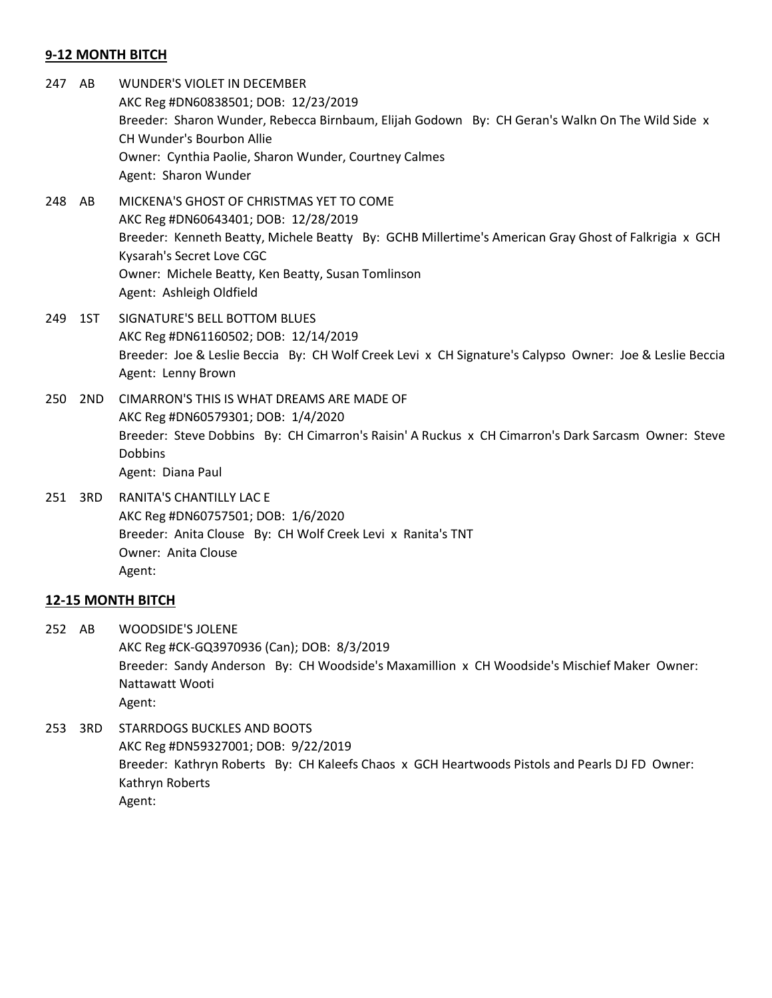# **9-12 MONTH BITCH**

- 247 AB WUNDER'S VIOLET IN DECEMBER AKC Reg #DN60838501; DOB: 12/23/2019 Breeder: Sharon Wunder, Rebecca Birnbaum, Elijah Godown By: CH Geran's Walkn On The Wild Side x CH Wunder's Bourbon Allie Owner: Cynthia Paolie, Sharon Wunder, Courtney Calmes Agent: Sharon Wunder
- 248 AB MICKENA'S GHOST OF CHRISTMAS YET TO COME AKC Reg #DN60643401; DOB: 12/28/2019 Breeder: Kenneth Beatty, Michele Beatty By: GCHB Millertime's American Gray Ghost of Falkrigia x GCH Kysarah's Secret Love CGC Owner: Michele Beatty, Ken Beatty, Susan Tomlinson Agent: Ashleigh Oldfield
- 249 1ST SIGNATURE'S BELL BOTTOM BLUES AKC Reg #DN61160502; DOB: 12/14/2019 Breeder: Joe & Leslie Beccia By: CH Wolf Creek Levi x CH Signature's Calypso Owner: Joe & Leslie Beccia Agent: Lenny Brown
- 250 2ND CIMARRON'S THIS IS WHAT DREAMS ARE MADE OF AKC Reg #DN60579301; DOB: 1/4/2020 Breeder: Steve Dobbins By: CH Cimarron's Raisin' A Ruckus x CH Cimarron's Dark Sarcasm Owner: Steve **Dobbins** Agent: Diana Paul
- 251 3RD RANITA'S CHANTILLY LAC E AKC Reg #DN60757501; DOB: 1/6/2020 Breeder: Anita Clouse By: CH Wolf Creek Levi x Ranita's TNT Owner: Anita Clouse Agent:

## **12-15 MONTH BITCH**

252 AB WOODSIDE'S JOLENE AKC Reg #CK-GQ3970936 (Can); DOB: 8/3/2019 Breeder: Sandy Anderson By: CH Woodside's Maxamillion x CH Woodside's Mischief Maker Owner: Nattawatt Wooti Agent:

253 3RD STARRDOGS BUCKLES AND BOOTS AKC Reg #DN59327001; DOB: 9/22/2019 Breeder: Kathryn Roberts By: CH Kaleefs Chaos x GCH Heartwoods Pistols and Pearls DJ FD Owner: Kathryn Roberts Agent: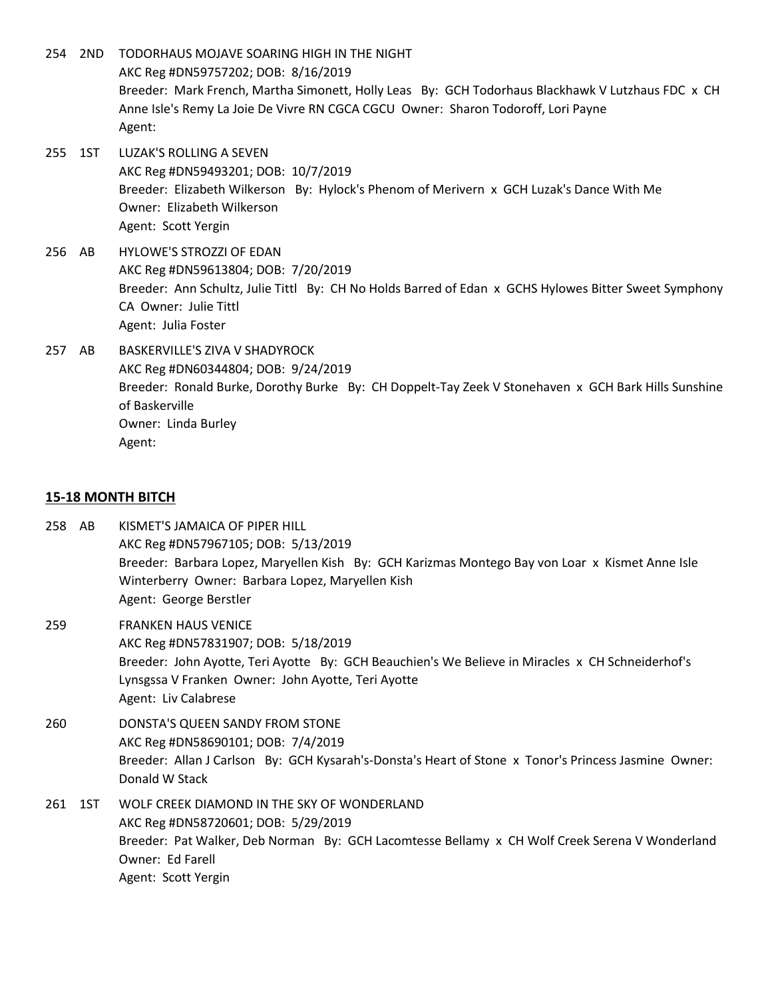- 254 2ND TODORHAUS MOJAVE SOARING HIGH IN THE NIGHT AKC Reg #DN59757202; DOB: 8/16/2019 Breeder: Mark French, Martha Simonett, Holly Leas By: GCH Todorhaus Blackhawk V Lutzhaus FDC x CH Anne Isle's Remy La Joie De Vivre RN CGCA CGCU Owner: Sharon Todoroff, Lori Payne Agent: 255 1ST LUZAK'S ROLLING A SEVEN AKC Reg #DN59493201; DOB: 10/7/2019 Breeder: Elizabeth Wilkerson By: Hylock's Phenom of Merivern x GCH Luzak's Dance With Me Owner: Elizabeth Wilkerson Agent: Scott Yergin
- 256 AB HYLOWE'S STROZZI OF EDAN AKC Reg #DN59613804; DOB: 7/20/2019 Breeder: Ann Schultz, Julie Tittl By: CH No Holds Barred of Edan x GCHS Hylowes Bitter Sweet Symphony CA Owner: Julie Tittl Agent: Julia Foster
- 257 AB BASKERVILLE'S ZIVA V SHADYROCK AKC Reg #DN60344804; DOB: 9/24/2019 Breeder: Ronald Burke, Dorothy Burke By: CH Doppelt-Tay Zeek V Stonehaven x GCH Bark Hills Sunshine of Baskerville Owner: Linda Burley Agent:

#### **15-18 MONTH BITCH**

- 258 AB KISMET'S JAMAICA OF PIPER HILL AKC Reg #DN57967105; DOB: 5/13/2019 Breeder: Barbara Lopez, Maryellen Kish By: GCH Karizmas Montego Bay von Loar x Kismet Anne Isle Winterberry Owner: Barbara Lopez, Maryellen Kish Agent: George Berstler 259 FRANKEN HAUS VENICE AKC Reg #DN57831907; DOB: 5/18/2019 Breeder: John Ayotte, Teri Ayotte By: GCH Beauchien's We Believe in Miracles x CH Schneiderhof's Lynsgssa V Franken Owner: John Ayotte, Teri Ayotte Agent: Liv Calabrese 260 DONSTA'S QUEEN SANDY FROM STONE AKC Reg #DN58690101; DOB: 7/4/2019 Breeder: Allan J Carlson By: GCH Kysarah's-Donsta's Heart of Stone x Tonor's Princess Jasmine Owner: Donald W Stack
- 261 1ST WOLF CREEK DIAMOND IN THE SKY OF WONDERLAND AKC Reg #DN58720601; DOB: 5/29/2019 Breeder: Pat Walker, Deb Norman By: GCH Lacomtesse Bellamy x CH Wolf Creek Serena V Wonderland Owner: Ed Farell Agent: Scott Yergin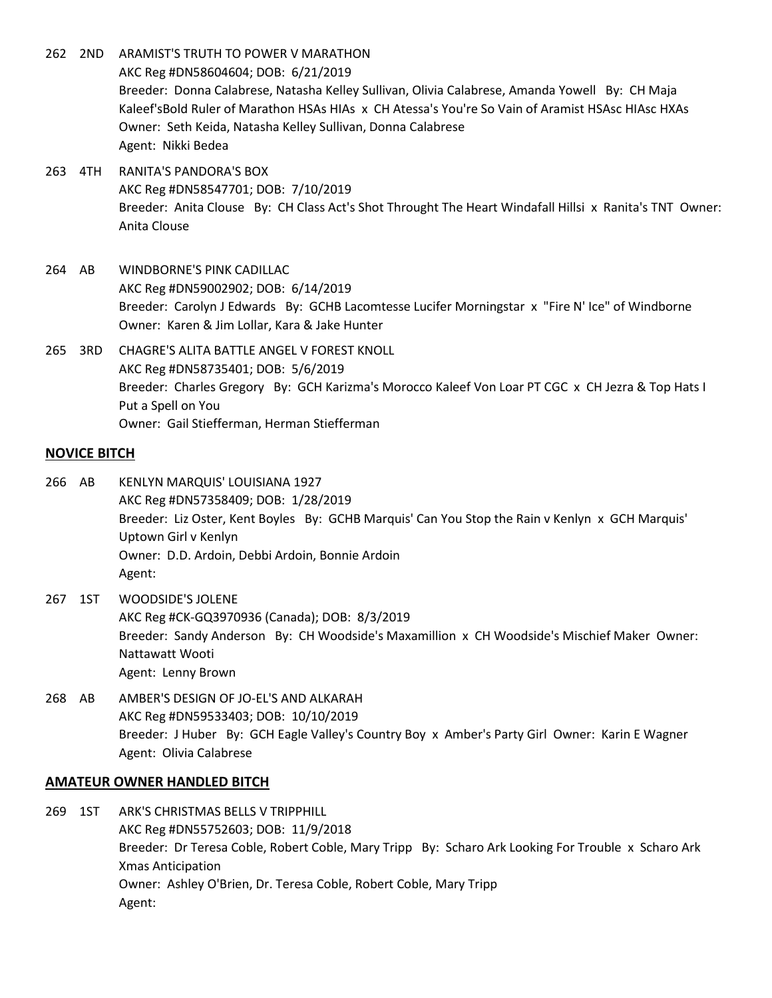- 262 2ND ARAMIST'S TRUTH TO POWER V MARATHON AKC Reg #DN58604604; DOB: 6/21/2019 Breeder: Donna Calabrese, Natasha Kelley Sullivan, Olivia Calabrese, Amanda Yowell By: CH Maja Kaleef'sBold Ruler of Marathon HSAs HIAs x CH Atessa's You're So Vain of Aramist HSAsc HIAsc HXAs Owner: Seth Keida, Natasha Kelley Sullivan, Donna Calabrese Agent: Nikki Bedea
- 263 4TH RANITA'S PANDORA'S BOX AKC Reg #DN58547701; DOB: 7/10/2019 Breeder: Anita Clouse By: CH Class Act's Shot Throught The Heart Windafall Hillsi x Ranita's TNT Owner: Anita Clouse
- 264 AB WINDBORNE'S PINK CADILLAC AKC Reg #DN59002902; DOB: 6/14/2019 Breeder: Carolyn J Edwards By: GCHB Lacomtesse Lucifer Morningstar x "Fire N' Ice" of Windborne Owner: Karen & Jim Lollar, Kara & Jake Hunter
- 265 3RD CHAGRE'S ALITA BATTLE ANGEL V FOREST KNOLL AKC Reg #DN58735401; DOB: 5/6/2019 Breeder: Charles Gregory By: GCH Karizma's Morocco Kaleef Von Loar PT CGC x CH Jezra & Top Hats I Put a Spell on You Owner: Gail Stiefferman, Herman Stiefferman

# **NOVICE BITCH**

- 266 AB KENLYN MARQUIS' LOUISIANA 1927 AKC Reg #DN57358409; DOB: 1/28/2019 Breeder: Liz Oster, Kent Boyles By: GCHB Marquis' Can You Stop the Rain v Kenlyn x GCH Marquis' Uptown Girl v Kenlyn Owner: D.D. Ardoin, Debbi Ardoin, Bonnie Ardoin Agent:
- 267 1ST WOODSIDE'S JOLENE AKC Reg #CK-GQ3970936 (Canada); DOB: 8/3/2019 Breeder: Sandy Anderson By: CH Woodside's Maxamillion x CH Woodside's Mischief Maker Owner: Nattawatt Wooti Agent: Lenny Brown
- 268 AB AMBER'S DESIGN OF JO-EL'S AND ALKARAH AKC Reg #DN59533403; DOB: 10/10/2019 Breeder: J Huber By: GCH Eagle Valley's Country Boy x Amber's Party Girl Owner: Karin E Wagner Agent: Olivia Calabrese

#### **AMATEUR OWNER HANDLED BITCH**

269 1ST ARK'S CHRISTMAS BELLS V TRIPPHILL AKC Reg #DN55752603; DOB: 11/9/2018 Breeder: Dr Teresa Coble, Robert Coble, Mary Tripp By: Scharo Ark Looking For Trouble x Scharo Ark Xmas Anticipation Owner: Ashley O'Brien, Dr. Teresa Coble, Robert Coble, Mary Tripp Agent: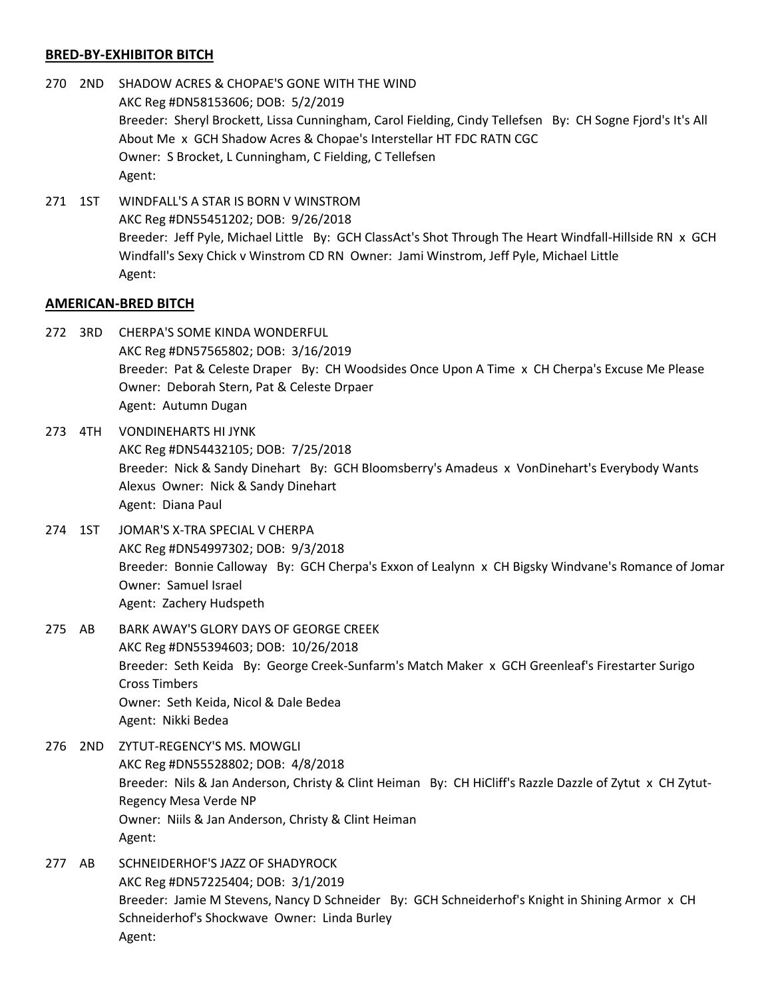# **BRED-BY-EXHIBITOR BITCH**

- 270 2ND SHADOW ACRES & CHOPAE'S GONE WITH THE WIND AKC Reg #DN58153606; DOB: 5/2/2019 Breeder: Sheryl Brockett, Lissa Cunningham, Carol Fielding, Cindy Tellefsen By: CH Sogne Fjord's It's All About Me x GCH Shadow Acres & Chopae's Interstellar HT FDC RATN CGC Owner: S Brocket, L Cunningham, C Fielding, C Tellefsen Agent:
- 271 1ST WINDFALL'S A STAR IS BORN V WINSTROM AKC Reg #DN55451202; DOB: 9/26/2018 Breeder: Jeff Pyle, Michael Little By: GCH ClassAct's Shot Through The Heart Windfall-Hillside RN x GCH Windfall's Sexy Chick v Winstrom CD RN Owner: Jami Winstrom, Jeff Pyle, Michael Little Agent:

## **AMERICAN-BRED BITCH**

- 272 3RD CHERPA'S SOME KINDA WONDERFUL AKC Reg #DN57565802; DOB: 3/16/2019 Breeder: Pat & Celeste Draper By: CH Woodsides Once Upon A Time x CH Cherpa's Excuse Me Please Owner: Deborah Stern, Pat & Celeste Drpaer Agent: Autumn Dugan
- 273 4TH VONDINEHARTS HI JYNK AKC Reg #DN54432105; DOB: 7/25/2018 Breeder: Nick & Sandy Dinehart By: GCH Bloomsberry's Amadeus x VonDinehart's Everybody Wants Alexus Owner: Nick & Sandy Dinehart Agent: Diana Paul
- 274 1ST JOMAR'S X-TRA SPECIAL V CHERPA AKC Reg #DN54997302; DOB: 9/3/2018 Breeder: Bonnie Calloway By: GCH Cherpa's Exxon of Lealynn x CH Bigsky Windvane's Romance of Jomar Owner: Samuel Israel Agent: Zachery Hudspeth
- 275 AB BARK AWAY'S GLORY DAYS OF GEORGE CREEK AKC Reg #DN55394603; DOB: 10/26/2018 Breeder: Seth Keida By: George Creek-Sunfarm's Match Maker x GCH Greenleaf's Firestarter Surigo Cross Timbers Owner: Seth Keida, Nicol & Dale Bedea Agent: Nikki Bedea
- 276 2ND ZYTUT-REGENCY'S MS. MOWGLI AKC Reg #DN55528802; DOB: 4/8/2018 Breeder: Nils & Jan Anderson, Christy & Clint Heiman By: CH HiCliff's Razzle Dazzle of Zytut x CH Zytut-Regency Mesa Verde NP Owner: Niils & Jan Anderson, Christy & Clint Heiman Agent:
- 277 AB SCHNEIDERHOF'S JAZZ OF SHADYROCK AKC Reg #DN57225404; DOB: 3/1/2019 Breeder: Jamie M Stevens, Nancy D Schneider By: GCH Schneiderhof's Knight in Shining Armor x CH Schneiderhof's Shockwave Owner: Linda Burley Agent: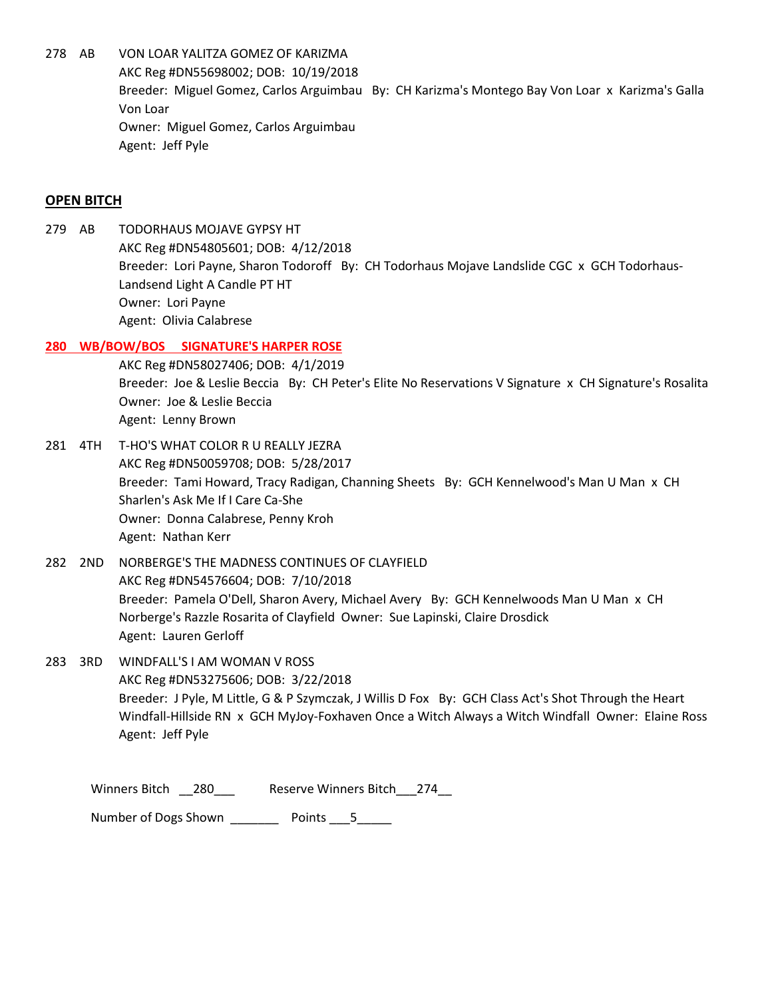278 AB VON LOAR YALITZA GOMEZ OF KARIZMA AKC Reg #DN55698002; DOB: 10/19/2018 Breeder: Miguel Gomez, Carlos Arguimbau By: CH Karizma's Montego Bay Von Loar x Karizma's Galla Von Loar Owner: Miguel Gomez, Carlos Arguimbau Agent: Jeff Pyle

# **OPEN BITCH**

279 AB TODORHAUS MOJAVE GYPSY HT AKC Reg #DN54805601; DOB: 4/12/2018 Breeder: Lori Payne, Sharon Todoroff By: CH Todorhaus Mojave Landslide CGC x GCH Todorhaus-Landsend Light A Candle PT HT Owner: Lori Payne Agent: Olivia Calabrese

# **280 WB/BOW/BOS SIGNATURE'S HARPER ROSE**

AKC Reg #DN58027406; DOB: 4/1/2019 Breeder: Joe & Leslie Beccia By: CH Peter's Elite No Reservations V Signature x CH Signature's Rosalita Owner: Joe & Leslie Beccia Agent: Lenny Brown

- 281 4TH T-HO'S WHAT COLOR R U REALLY JEZRA AKC Reg #DN50059708; DOB: 5/28/2017 Breeder: Tami Howard, Tracy Radigan, Channing Sheets By: GCH Kennelwood's Man U Man x CH Sharlen's Ask Me If I Care Ca-She Owner: Donna Calabrese, Penny Kroh Agent: Nathan Kerr
- 282 2ND NORBERGE'S THE MADNESS CONTINUES OF CLAYFIELD AKC Reg #DN54576604; DOB: 7/10/2018 Breeder: Pamela O'Dell, Sharon Avery, Michael Avery By: GCH Kennelwoods Man U Man x CH Norberge's Razzle Rosarita of Clayfield Owner: Sue Lapinski, Claire Drosdick Agent: Lauren Gerloff
- 283 3RD WINDFALL'S I AM WOMAN V ROSS AKC Reg #DN53275606; DOB: 3/22/2018 Breeder: J Pyle, M Little, G & P Szymczak, J Willis D Fox By: GCH Class Act's Shot Through the Heart Windfall-Hillside RN x GCH MyJoy-Foxhaven Once a Witch Always a Witch Windfall Owner: Elaine Ross Agent: Jeff Pyle

Winners Bitch \_\_280\_\_\_ Reserve Winners Bitch\_\_\_274\_\_

Number of Dogs Shown \_\_\_\_\_\_\_\_\_ Points \_\_\_5\_\_\_\_\_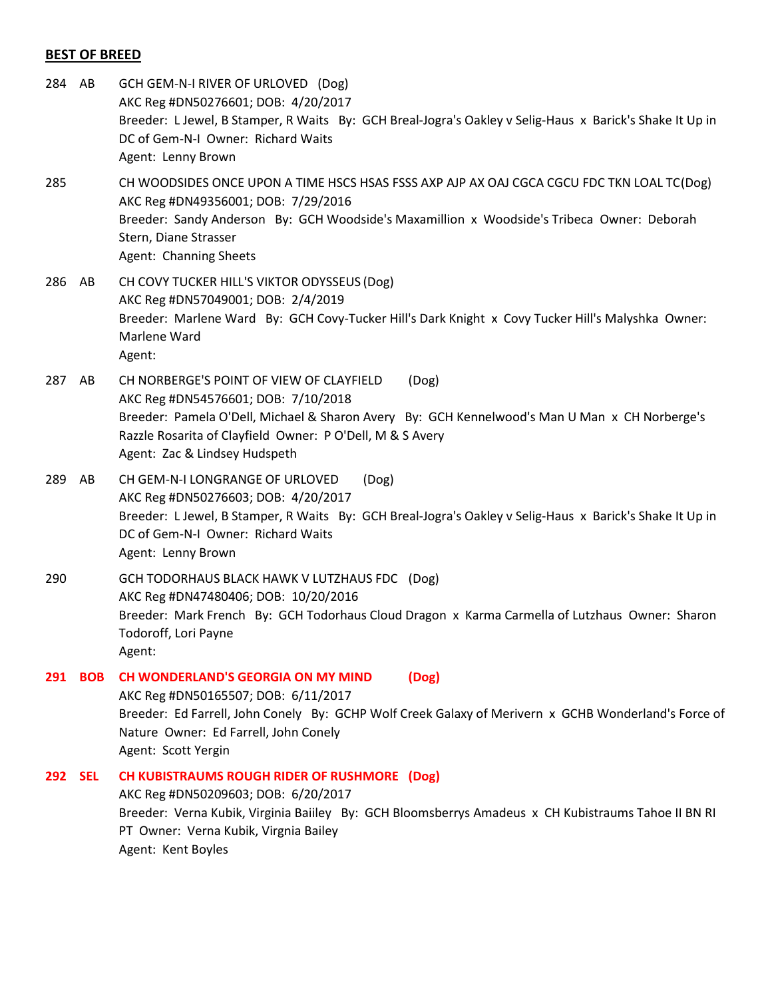## **BEST OF BREED**

- 284 AB GCH GEM-N-I RIVER OF URLOVED (Dog) AKC Reg #DN50276601; DOB: 4/20/2017 Breeder: L Jewel, B Stamper, R Waits By: GCH Breal-Jogra's Oakley v Selig-Haus x Barick's Shake It Up in DC of Gem-N-I Owner: Richard Waits Agent: Lenny Brown
- 285 CH WOODSIDES ONCE UPON A TIME HSCS HSAS FSSS AXP AJP AX OAJ CGCA CGCU FDC TKN LOAL TC(Dog) AKC Reg #DN49356001; DOB: 7/29/2016 Breeder: Sandy Anderson By: GCH Woodside's Maxamillion x Woodside's Tribeca Owner: Deborah Stern, Diane Strasser Agent: Channing Sheets
- 286 AB CH COVY TUCKER HILL'S VIKTOR ODYSSEUS (Dog) AKC Reg #DN57049001; DOB: 2/4/2019 Breeder: Marlene Ward By: GCH Covy-Tucker Hill's Dark Knight x Covy Tucker Hill's Malyshka Owner: Marlene Ward Agent:
- 287 AB CH NORBERGE'S POINT OF VIEW OF CLAYFIELD (Dog) AKC Reg #DN54576601; DOB: 7/10/2018 Breeder: Pamela O'Dell, Michael & Sharon Avery By: GCH Kennelwood's Man U Man x CH Norberge's Razzle Rosarita of Clayfield Owner: P O'Dell, M & S Avery Agent: Zac & Lindsey Hudspeth
- 289 AB CH GEM-N-I LONGRANGE OF URLOVED (Dog) AKC Reg #DN50276603; DOB: 4/20/2017 Breeder: L Jewel, B Stamper, R Waits By: GCH Breal-Jogra's Oakley v Selig-Haus x Barick's Shake It Up in DC of Gem-N-I Owner: Richard Waits Agent: Lenny Brown
- 290 GCH TODORHAUS BLACK HAWK V LUTZHAUS FDC (Dog) AKC Reg #DN47480406; DOB: 10/20/2016 Breeder: Mark French By: GCH Todorhaus Cloud Dragon x Karma Carmella of Lutzhaus Owner: Sharon Todoroff, Lori Payne Agent:
- **291 BOB CH WONDERLAND'S GEORGIA ON MY MIND (Dog)** AKC Reg #DN50165507; DOB: 6/11/2017 Breeder: Ed Farrell, John Conely By: GCHP Wolf Creek Galaxy of Merivern x GCHB Wonderland's Force of Nature Owner: Ed Farrell, John Conely Agent: Scott Yergin
- **292 SEL CH KUBISTRAUMS ROUGH RIDER OF RUSHMORE (Dog)** AKC Reg #DN50209603; DOB: 6/20/2017 Breeder: Verna Kubik, Virginia Baiiley By: GCH Bloomsberrys Amadeus x CH Kubistraums Tahoe II BN RI PT Owner: Verna Kubik, Virgnia Bailey Agent: Kent Boyles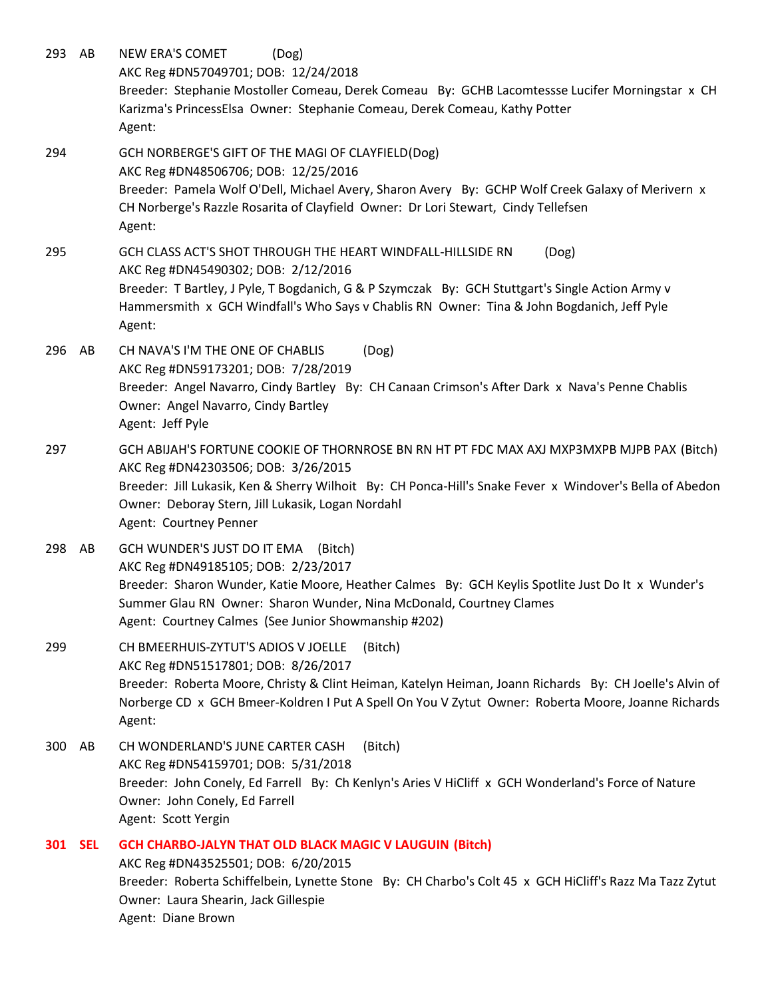293 AB NEW ERA'S COMET (Dog) AKC Reg #DN57049701; DOB: 12/24/2018 Breeder: Stephanie Mostoller Comeau, Derek Comeau By: GCHB Lacomtessse Lucifer Morningstar x CH Karizma's PrincessElsa Owner: Stephanie Comeau, Derek Comeau, Kathy Potter Agent: 294 GCH NORBERGE'S GIFT OF THE MAGI OF CLAYFIELD(Dog) AKC Reg #DN48506706; DOB: 12/25/2016 Breeder: Pamela Wolf O'Dell, Michael Avery, Sharon Avery By: GCHP Wolf Creek Galaxy of Merivern x CH Norberge's Razzle Rosarita of Clayfield Owner: Dr Lori Stewart, Cindy Tellefsen Agent: 295 GCH CLASS ACT'S SHOT THROUGH THE HEART WINDFALL-HILLSIDE RN (Dog) AKC Reg #DN45490302; DOB: 2/12/2016 Breeder: T Bartley, J Pyle, T Bogdanich, G & P Szymczak By: GCH Stuttgart's Single Action Army v Hammersmith x GCH Windfall's Who Says v Chablis RN Owner: Tina & John Bogdanich, Jeff Pyle Agent: 296 AB CH NAVA'S I'M THE ONE OF CHABLIS (Dog) AKC Reg #DN59173201; DOB: 7/28/2019 Breeder: Angel Navarro, Cindy Bartley By: CH Canaan Crimson's After Dark x Nava's Penne Chablis Owner: Angel Navarro, Cindy Bartley Agent: Jeff Pyle 297 GCH ABIJAH'S FORTUNE COOKIE OF THORNROSE BN RN HT PT FDC MAX AXJ MXP3MXPB MJPB PAX (Bitch) AKC Reg #DN42303506; DOB: 3/26/2015 Breeder: Jill Lukasik, Ken & Sherry Wilhoit By: CH Ponca-Hill's Snake Fever x Windover's Bella of Abedon Owner: Deboray Stern, Jill Lukasik, Logan Nordahl Agent: Courtney Penner 298 AB GCH WUNDER'S JUST DO IT EMA (Bitch) AKC Reg #DN49185105; DOB: 2/23/2017 Breeder: Sharon Wunder, Katie Moore, Heather Calmes By: GCH Keylis Spotlite Just Do It x Wunder's Summer Glau RN Owner: Sharon Wunder, Nina McDonald, Courtney Clames Agent: Courtney Calmes (See Junior Showmanship #202) 299 CH BMEERHUIS-ZYTUT'S ADIOS V JOELLE (Bitch) AKC Reg #DN51517801; DOB: 8/26/2017 Breeder: Roberta Moore, Christy & Clint Heiman, Katelyn Heiman, Joann Richards By: CH Joelle's Alvin of Norberge CD x GCH Bmeer-Koldren I Put A Spell On You V Zytut Owner: Roberta Moore, Joanne Richards Agent: 300 AB CH WONDERLAND'S JUNE CARTER CASH (Bitch) AKC Reg #DN54159701; DOB: 5/31/2018 Breeder: John Conely, Ed Farrell By: Ch Kenlyn's Aries V HiCliff x GCH Wonderland's Force of Nature Owner: John Conely, Ed Farrell Agent: Scott Yergin **301 SEL GCH CHARBO-JALYN THAT OLD BLACK MAGIC V LAUGUIN (Bitch)** AKC Reg #DN43525501; DOB: 6/20/2015 Breeder: Roberta Schiffelbein, Lynette Stone By: CH Charbo's Colt 45 x GCH HiCliff's Razz Ma Tazz Zytut Owner: Laura Shearin, Jack Gillespie Agent: Diane Brown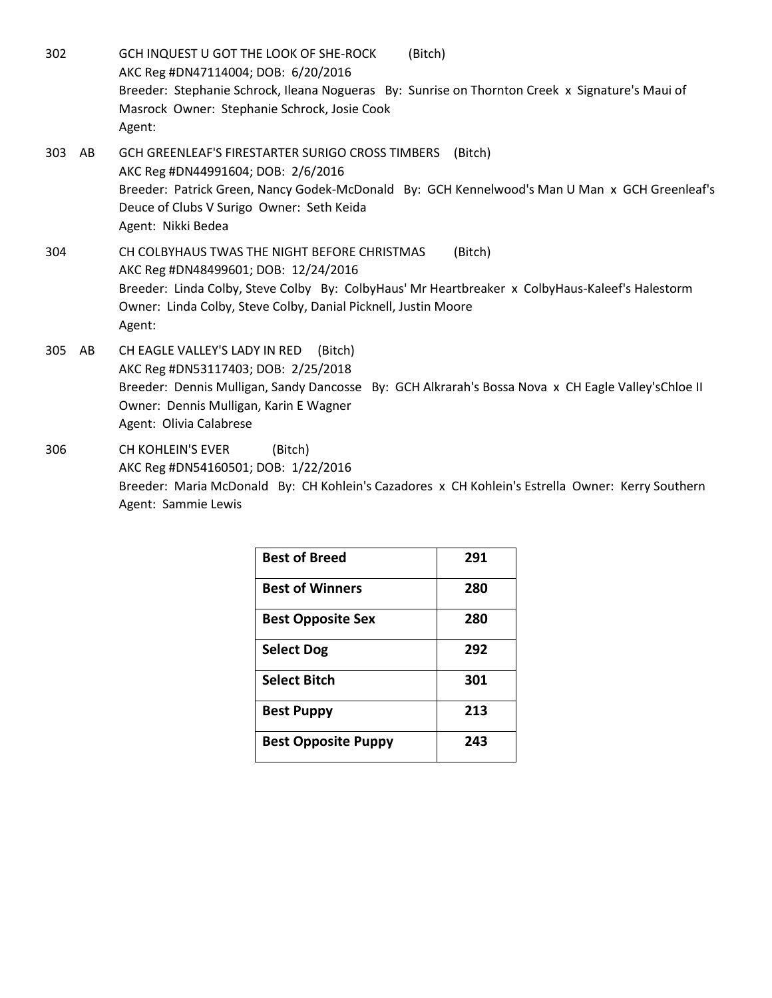302 GCH INQUEST U GOT THE LOOK OF SHE-ROCK (Bitch) AKC Reg #DN47114004; DOB: 6/20/2016 Breeder: Stephanie Schrock, Ileana Nogueras By: Sunrise on Thornton Creek x Signature's Maui of Masrock Owner: Stephanie Schrock, Josie Cook Agent: 303 AB GCH GREENLEAF'S FIRESTARTER SURIGO CROSS TIMBERS (Bitch) AKC Reg #DN44991604; DOB: 2/6/2016 Breeder: Patrick Green, Nancy Godek-McDonald By: GCH Kennelwood's Man U Man x GCH Greenleaf's Deuce of Clubs V Surigo Owner: Seth Keida Agent: Nikki Bedea 304 CH COLBYHAUS TWAS THE NIGHT BEFORE CHRISTMAS (Bitch) AKC Reg #DN48499601; DOB: 12/24/2016 Breeder: Linda Colby, Steve Colby By: ColbyHaus' Mr Heartbreaker x ColbyHaus-Kaleef's Halestorm Owner: Linda Colby, Steve Colby, Danial Picknell, Justin Moore Agent: 305 AB CH EAGLE VALLEY'S LADY IN RED (Bitch) AKC Reg #DN53117403; DOB: 2/25/2018 Breeder: Dennis Mulligan, Sandy Dancosse By: GCH Alkrarah's Bossa Nova x CH Eagle Valley'sChloe II Owner: Dennis Mulligan, Karin E Wagner

Agent: Olivia Calabrese

306 CH KOHLEIN'S EVER (Bitch) AKC Reg #DN54160501; DOB: 1/22/2016 Breeder: Maria McDonald By: CH Kohlein's Cazadores x CH Kohlein's Estrella Owner: Kerry Southern Agent: Sammie Lewis

| <b>Best of Breed</b>       | 291 |
|----------------------------|-----|
| <b>Best of Winners</b>     | 280 |
| <b>Best Opposite Sex</b>   | 280 |
| <b>Select Dog</b>          | 292 |
| <b>Select Bitch</b>        | 301 |
| <b>Best Puppy</b>          | 213 |
| <b>Best Opposite Puppy</b> | 243 |